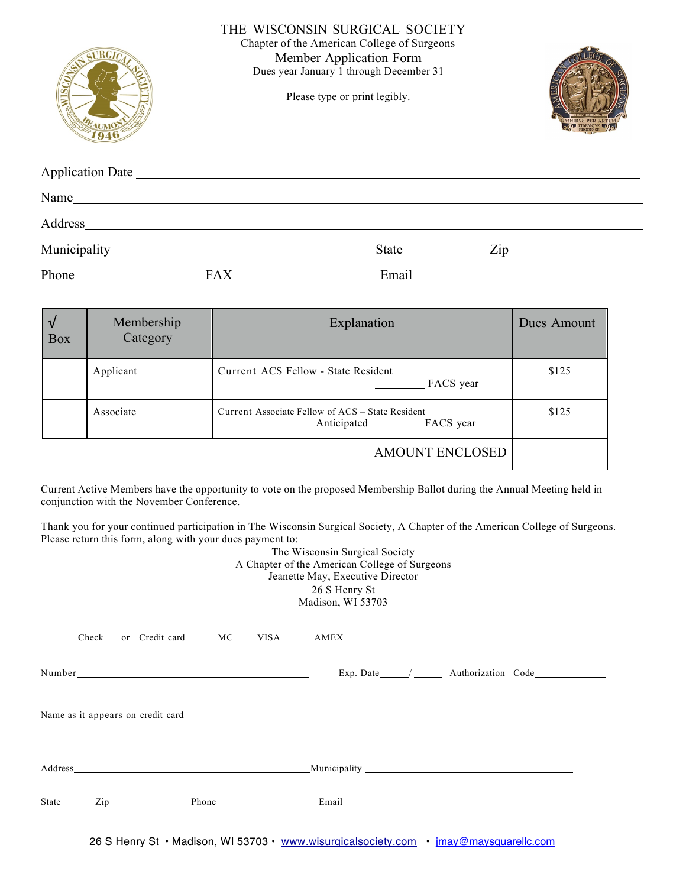|                                                                                                                                                                                                                                         | THE WISCONSIN SURGICAL SOCIETY<br>Chapter of the American College of Surgeons<br>Member Application Form<br>Dues year January 1 through December 31<br>Please type or print legibly. |                                                                                                                                                                                                                               |  |  |
|-----------------------------------------------------------------------------------------------------------------------------------------------------------------------------------------------------------------------------------------|--------------------------------------------------------------------------------------------------------------------------------------------------------------------------------------|-------------------------------------------------------------------------------------------------------------------------------------------------------------------------------------------------------------------------------|--|--|
|                                                                                                                                                                                                                                         |                                                                                                                                                                                      |                                                                                                                                                                                                                               |  |  |
| Name <sub>nt</sub> and the set of the set of the set of the set of the set of the set of the set of the set of the set of the set of the set of the set of the set of the set of the set of the set of the set of the set of the set of |                                                                                                                                                                                      |                                                                                                                                                                                                                               |  |  |
|                                                                                                                                                                                                                                         |                                                                                                                                                                                      |                                                                                                                                                                                                                               |  |  |
|                                                                                                                                                                                                                                         |                                                                                                                                                                                      | $State$ $Zip$                                                                                                                                                                                                                 |  |  |
| Phone FAX                                                                                                                                                                                                                               |                                                                                                                                                                                      | Email and the state of the state of the state of the state of the state of the state of the state of the state of the state of the state of the state of the state of the state of the state of the state of the state of the |  |  |

| l V<br><b>Box</b> | Membership<br>Category | Explanation                                                                  | Dues Amount |
|-------------------|------------------------|------------------------------------------------------------------------------|-------------|
|                   | Applicant              | Current ACS Fellow - State Resident<br>FACS year                             | \$125       |
|                   | Associate              | Current Associate Fellow of ACS – State Resident<br>Anticipated<br>FACS year | \$125       |
|                   |                        | <b>AMOUNT ENCLOSED</b>                                                       |             |

Current Active Members have the opportunity to vote on the proposed Membership Ballot during the Annual Meeting held in conjunction with the November Conference.

Thank you for your continued participation in The Wisconsin Surgical Society, A Chapter of the American College of Surgeons. Please return this form, along with your dues payment to:

The Wisconsin Surgical Society A Chapter of the American College of Surgeons Jeanette May, Executive Director 26 S Henry St Madison, WI 53703

|  |                                   | Check or Credit card __ MC___VISA __ AMEX |  |  |                                |
|--|-----------------------------------|-------------------------------------------|--|--|--------------------------------|
|  |                                   |                                           |  |  | Exp. Date / Authorization Code |
|  | Name as it appears on credit card |                                           |  |  |                                |
|  |                                   |                                           |  |  |                                |
|  |                                   |                                           |  |  |                                |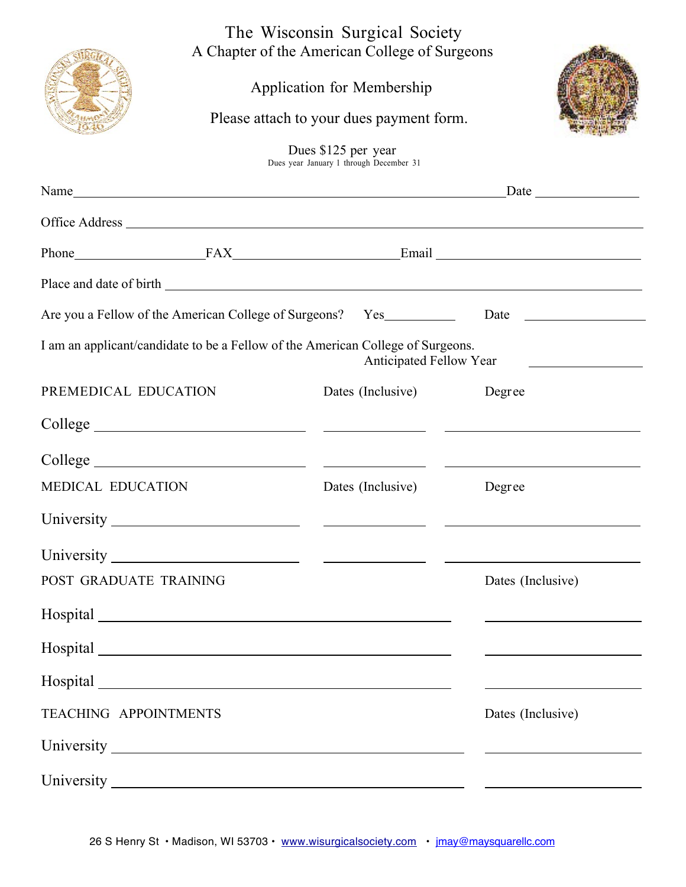